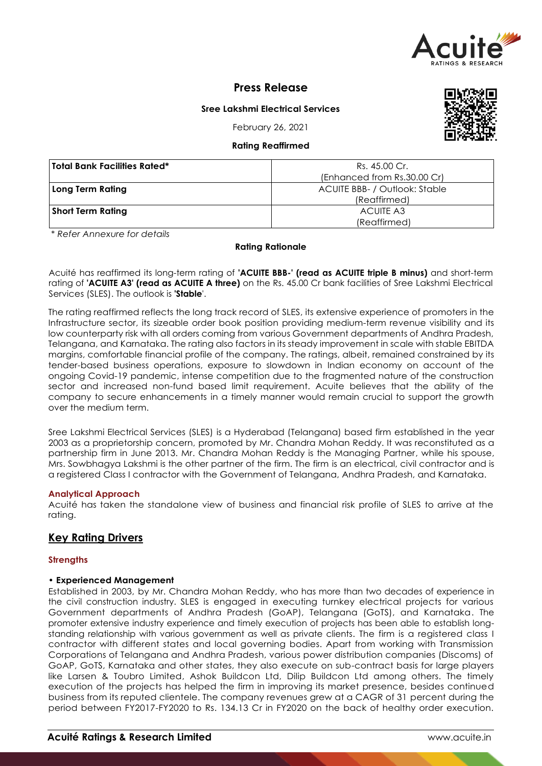

# **Press Release**

## **Sree Lakshmi Electrical Services**

February 26, 2021

## **Rating Reaffirmed**

| <b>Total Bank Facilities Rated*</b> | Rs. 45.00 Cr.                 |
|-------------------------------------|-------------------------------|
|                                     | (Enhanced from Rs.30.00 Cr)   |
| <b>Long Term Rating</b>             | ACUITE BBB- / Outlook: Stable |
|                                     | (Reaffirmed)                  |
| <b>Short Term Rating</b>            | ACUITE A3                     |
|                                     | (Reaffirmed)                  |

*\* Refer Annexure for details*

#### **Rating Rationale**

Acuité has reaffirmed its long-term rating of **'ACUITE BBB-' (read as ACUITE triple B minus)** and short-term rating of **'ACUITE A3' (read as ACUITE A three)** on the Rs. 45.00 Cr bank facilities of Sree Lakshmi Electrical Services (SLES). The outlook is **'Stable**'.

The rating reaffirmed reflects the long track record of SLES, its extensive experience of promoters in the Infrastructure sector, its sizeable order book position providing medium-term revenue visibility and its low counterparty risk with all orders coming from various Government departments of Andhra Pradesh, Telangana, and Karnataka. The rating also factors in its steady improvement in scale with stable EBITDA margins, comfortable financial profile of the company. The ratings, albeit, remained constrained by its tender-based business operations, exposure to slowdown in Indian economy on account of the ongoing Covid-19 pandemic, intense competition due to the fragmented nature of the construction sector and increased non-fund based limit requirement. Acuite believes that the ability of the company to secure enhancements in a timely manner would remain crucial to support the growth over the medium term.

Sree Lakshmi Electrical Services (SLES) is a Hyderabad (Telangana) based firm established in the year 2003 as a proprietorship concern, promoted by Mr. Chandra Mohan Reddy. It was reconstituted as a partnership firm in June 2013. Mr. Chandra Mohan Reddy is the Managing Partner, while his spouse, Mrs. Sowbhagya Lakshmi is the other partner of the firm. The firm is an electrical, civil contractor and is a registered Class I contractor with the Government of Telangana, Andhra Pradesh, and Karnataka.

#### **Analytical Approach**

Acuité has taken the standalone view of business and financial risk profile of SLES to arrive at the rating.

## **Key Rating Drivers**

#### **Strengths**

#### • **Experienced Management**

Established in 2003, by Mr. Chandra Mohan Reddy, who has more than two decades of experience in the civil construction industry. SLES is engaged in executing turnkey electrical projects for various Government departments of Andhra Pradesh (GoAP), Telangana (GoTS), and Karnataka. The promoter extensive industry experience and timely execution of projects has been able to establish longstanding relationship with various government as well as private clients. The firm is a registered class I contractor with different states and local governing bodies. Apart from working with Transmission Corporations of Telangana and Andhra Pradesh, various power distribution companies (Discoms) of GoAP, GoTS, Karnataka and other states, they also execute on sub-contract basis for large players like Larsen & Toubro Limited, Ashok Buildcon Ltd, Dilip Buildcon Ltd among others. The timely execution of the projects has helped the firm in improving its market presence, besides continued business from its reputed clientele. The company revenues grew at a CAGR of 31 percent during the period between FY2017-FY2020 to Rs. 134.13 Cr in FY2020 on the back of healthy order execution.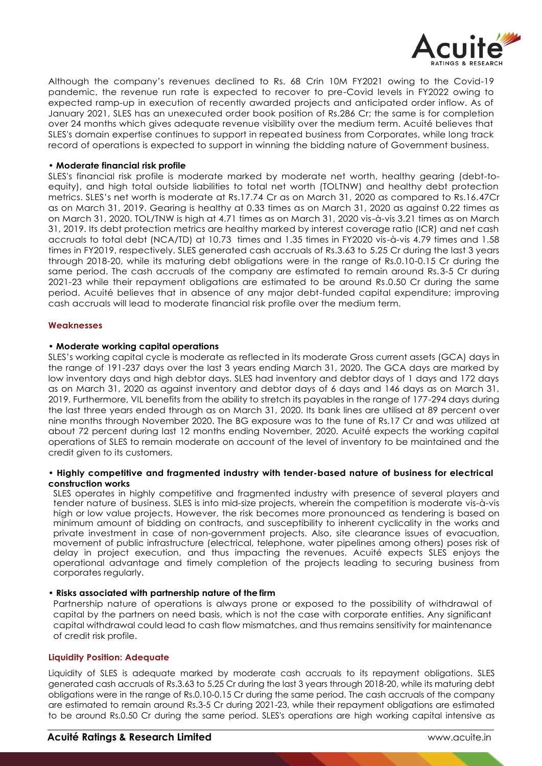

Although the company's revenues declined to Rs. 68 Crin 10M FY2021 owing to the Covid-19 pandemic, the revenue run rate is expected to recover to pre-Covid levels in FY2022 owing to expected ramp-up in execution of recently awarded projects and anticipated order inflow. As of January 2021, SLES has an unexecuted order book position of Rs.286 Cr; the same is for completion over 24 months which gives adequate revenue visibility over the medium term. Acuité believes that SLES's domain expertise continues to support in repeated business from Corporates, while long track record of operations is expected to support in winning the bidding nature of Government business.

#### • **Moderate financial risk profile**

SLES's financial risk profile is moderate marked by moderate net worth, healthy gearing (debt-toequity), and high total outside liabilities to total net worth (TOLTNW) and healthy debt protection metrics. SLES's net worth is moderate at Rs.17.74 Cr as on March 31, 2020 as compared to Rs.16.47Cr as on March 31, 2019. Gearing is healthy at 0.33 times as on March 31, 2020 as against 0.22 times as on March 31, 2020. TOL/TNW is high at 4.71 times as on March 31, 2020 vis-à-vis 3.21 times as on March 31, 2019. Its debt protection metrics are healthy marked by interest coverage ratio (ICR) and net cash accruals to total debt (NCA/TD) at 10.73 times and 1.35 times in FY2020 vis-à-vis 4.79 times and 1.58 times in FY2019, respectively. SLES generated cash accruals of Rs.3.63 to 5.25 Cr during the last 3 years through 2018-20, while its maturing debt obligations were in the range of Rs.0.10-0.15 Cr during the same period. The cash accruals of the company are estimated to remain around Rs.3-5 Cr during 2021-23 while their repayment obligations are estimated to be around Rs.0.50 Cr during the same period. Acuité believes that in absence of any major debt-funded capital expenditure; improving cash accruals will lead to moderate financial risk profile over the medium term.

#### **Weaknesses**

#### • **Moderate working capital operations**

SLES's working capital cycle is moderate as reflected in its moderate Gross current assets (GCA) days in the range of 191-237 days over the last 3 years ending March 31, 2020. The GCA days are marked by low inventory days and high debtor days. SLES had inventory and debtor days of 1 days and 172 days as on March 31, 2020 as against inventory and debtor days of 6 days and 146 days as on March 31, 2019. Furthermore, VIL benefits from the ability to stretch its payables in the range of 177-294 days during the last three years ended through as on March 31, 2020. Its bank lines are utilised at 89 percent over nine months through November 2020. The BG exposure was to the tune of Rs.17 Cr and was utilized at about 72 percent during last 12 months ending November, 2020. Acuité expects the working capital operations of SLES to remain moderate on account of the level of inventory to be maintained and the credit given to its customers.

#### • **Highly competitive and fragmented industry with tender-based nature of business for electrical construction works**

SLES operates in highly competitive and fragmented industry with presence of several players and tender nature of business. SLES is into mid-size projects, wherein the competition is moderate vis-à-vis high or low value projects. However, the risk becomes more pronounced as tendering is based on minimum amount of bidding on contracts, and susceptibility to inherent cyclicality in the works and private investment in case of non-government projects. Also, site clearance issues of evacuation, movement of public infrastructure (electrical, telephone, water pipelines among others) poses risk of delay in project execution, and thus impacting the revenues. Acuité expects SLES enjoys the operational advantage and timely completion of the projects leading to securing business from corporates regularly.

## • **Risks associated with partnership nature of the firm**

Partnership nature of operations is always prone or exposed to the possibility of withdrawal of capital by the partners on need basis, which is not the case with corporate entities. Any significant capital withdrawal could lead to cash flow mismatches, and thus remains sensitivity for maintenance of credit risk profile.

#### **Liquidity Position: Adequate**

Liquidity of SLES is adequate marked by moderate cash accruals to its repayment obligations. SLES generated cash accruals of Rs.3.63 to 5.25 Cr during the last 3 years through 2018-20, while its maturing debt obligations were in the range of Rs.0.10-0.15 Cr during the same period. The cash accruals of the company are estimated to remain around Rs.3-5 Cr during 2021-23, while their repayment obligations are estimated to be around Rs.0.50 Cr during the same period. SLES's operations are high working capital intensive as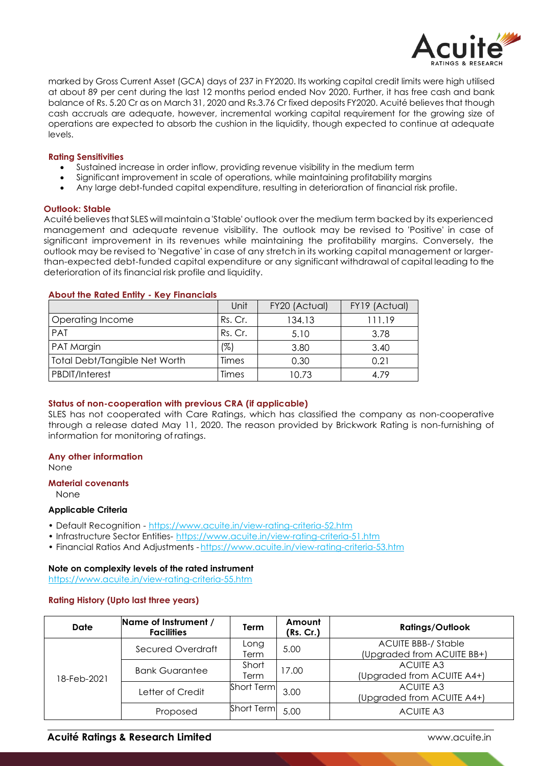

marked by Gross Current Asset (GCA) days of 237 in FY2020. Its working capital credit limits were high utilised at about 89 per cent during the last 12 months period ended Nov 2020. Further, it has free cash and bank balance of Rs. 5.20 Cr as on March 31, 2020 and Rs.3.76 Cr fixed deposits FY2020. Acuité believes that though cash accruals are adequate, however, incremental working capital requirement for the growing size of operations are expected to absorb the cushion in the liquidity, though expected to continue at adequate levels.

#### **Rating Sensitivities**

- Sustained increase in order inflow, providing revenue visibility in the medium term
- Significant improvement in scale of operations, while maintaining profitability margins
- Any large debt-funded capital expenditure, resulting in deterioration of financial risk profile.

#### **Outlook: Stable**

Acuité believes that SLES will maintain a 'Stable' outlook over the medium term backed by its experienced management and adequate revenue visibility. The outlook may be revised to 'Positive' in case of significant improvement in its revenues while maintaining the profitability margins. Conversely, the outlook may be revised to 'Negative' in case of any stretch in its working capital management or largerthan-expected debt-funded capital expenditure or any significant withdrawal of capital leading to the deterioration of its financial risk profile and liquidity.

#### **About the Rated Entity - Key Financials**

|                                      | Unit    | FY20 (Actual) | FY19 (Actual) |
|--------------------------------------|---------|---------------|---------------|
| Operating Income                     | Rs. Cr. | 134.13        | 111.19        |
| <b>PAT</b>                           | Rs. Cr. | 5.10          | 3.78          |
| PAT Margin                           | (%)     | 3.80          | 3.40          |
| <b>Total Debt/Tangible Net Worth</b> | Times   | 0.30          | 0.21          |
| <b>PBDIT/Interest</b>                | Times   | 10.73         | 4.79          |

#### **Status of non-cooperation with previous CRA (if applicable)**

SLES has not cooperated with Care Ratings, which has classified the company as non-cooperative through a release dated May 11, 2020. The reason provided by Brickwork Rating is non-furnishing of information for monitoring of ratings.

#### **Any other information**

None

#### **Material covenants**

None

#### **Applicable Criteria**

- Default Recognition https://www.acuite.in/view-rating-criteria-52.htm
- Infrastructure Sector Entities- https://www.acuite.in/view-rating-criteria-51.htm
- Financial Ratios And Adjustments https://www.acuite.in/view-rating-criteria-53.htm

#### **Note on complexity levels of the rated instrument**

https://www.acuite.in/view-rating-criteria-55.htm

#### **Rating History (Upto last three years)**

| Date        | Name of Instrument /<br><b>Facilities</b> | Term          | Amount<br>(Rs. Cr.) | <b>Ratings/Outlook</b>                                   |
|-------------|-------------------------------------------|---------------|---------------------|----------------------------------------------------------|
| 18-Feb-2021 | Secured Overdraft                         | Long<br>Term  | 5.00                | <b>ACUITE BBB-/ Stable</b><br>(Upgraded from ACUITE BB+) |
|             | <b>Bank Guarantee</b>                     | Short<br>Term | 17.00               | <b>ACUITE A3</b><br>(Upgraded from ACUITE A4+)           |
|             | Letter of Credit                          | Short Term    | 3.00                | <b>ACUITE A3</b><br>(Upgraded from ACUITE A4+)           |
|             | Proposed                                  | Short Term    | 5.00                | <b>ACUITE A3</b>                                         |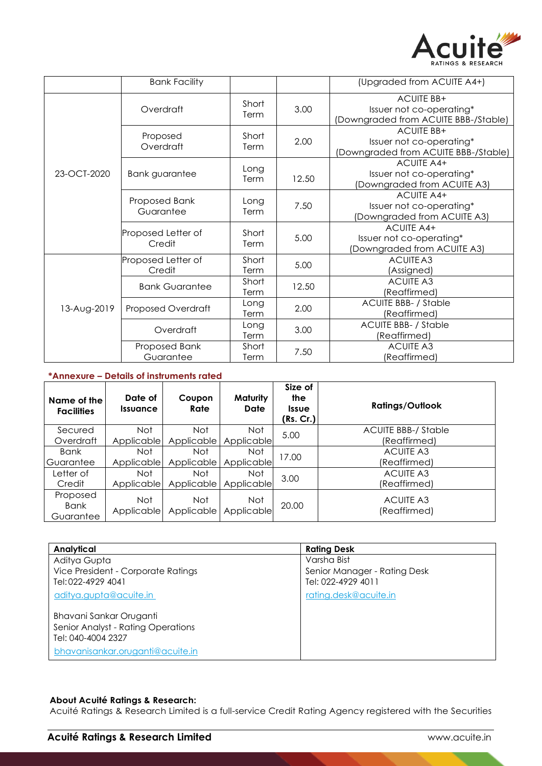

|             | <b>Bank Facility</b>                       |               |       | (Upgraded from ACUITE A4+)                                                            |
|-------------|--------------------------------------------|---------------|-------|---------------------------------------------------------------------------------------|
| 23-OCT-2020 | Overdraft                                  | Short<br>Term | 3.00  | <b>ACUITE BB+</b><br>Issuer not co-operating*<br>(Downgraded from ACUITE BBB-/Stable) |
|             | Proposed<br>Overdraft                      | Short<br>Term | 2.00  | <b>ACUITE BB+</b><br>Issuer not co-operating*<br>(Downgraded from ACUITE BBB-/Stable) |
|             | Long<br><b>Bank guarantee</b><br>Term      |               | 12.50 | <b>ACUITE A4+</b><br>Issuer not co-operating*<br>(Downgraded from ACUITE A3)          |
|             | Proposed Bank<br>Long<br>Guarantee<br>Term |               | 7.50  | <b>ACUITE A4+</b><br>Issuer not co-operating*<br>(Downgraded from ACUITE A3)          |
|             | Proposed Letter of<br>Credit               | Short<br>Term | 5.00  | <b>ACUITE A4+</b><br>Issuer not co-operating*<br>(Downgraded from ACUITE A3)          |
| 13-Aug-2019 | Proposed Letter of<br>Credit               | Short<br>Term | 5.00  | ACUITE A3<br>(Assigned)                                                               |
|             | Short<br><b>Bank Guarantee</b><br>Term     |               | 12.50 | <b>ACUITE A3</b><br>(Reaffirmed)                                                      |
|             | Proposed Overdraft                         | Long<br>Term  |       | <b>ACUITE BBB- / Stable</b><br>(Reaffirmed)                                           |
|             | Overdraft                                  | Long<br>Term  | 3.00  | <b>ACUITE BBB- / Stable</b><br>(Reaffirmed)                                           |
|             | Proposed Bank<br>Guarantee                 | Short<br>Term | 7.50  | <b>ACUITE A3</b><br>(Reaffirmed)                                                      |

## **\*Annexure – Details of instruments rated**

| Name of the<br><b>Facilities</b> | Date of<br><i><u><b>Issuance</b></u></i> | Coupon<br>Rate    | Maturity<br>Date         | Size of<br>the<br><b>Issue</b><br>(Rs. Cr.) | <b>Ratings/Outlook</b>           |
|----------------------------------|------------------------------------------|-------------------|--------------------------|---------------------------------------------|----------------------------------|
| Secured                          | Not.                                     | Not               | <b>Not</b>               | 5.00                                        | <b>ACUITE BBB-/ Stable</b>       |
| Overdraft                        | Applicable                               | Applicable        | Applicable               |                                             | (Reaffirmed)                     |
| Bank                             | Not.                                     | Not               | Not.                     | 17.00                                       | <b>ACUITE A3</b>                 |
| l Guarantee                      | Applicable                               | Applicable        | Applicable               |                                             | (Reaffirmed)                     |
| Letter of                        | Not.                                     | Not               | Not.                     | 3.00                                        | <b>ACUITE A3</b>                 |
| Credit                           | Applicable                               | Applicable        | Applicable               |                                             | (Reaffirmed)                     |
| Proposed<br>Bank<br>Guarantee    | <b>Not</b><br>Applicable                 | Not<br>Applicable | <b>Not</b><br>Applicable | 20.00                                       | <b>ACUITE A3</b><br>(Reaffirmed) |

| Analytical                         | <b>Rating Desk</b>           |
|------------------------------------|------------------------------|
| Aditya Gupta                       | Varsha Bist                  |
| Vice President - Corporate Ratings | Senior Manager - Rating Desk |
| Tel: 022-4929 4041                 | Tel: 022-4929 4011           |
| aditya.gupta@acuite.in             | rating.desk@acuite.in        |
| Bhavani Sankar Oruganti            |                              |
| Senior Analyst - Rating Operations |                              |
| Tel: 040-4004 2327                 |                              |
| bhavanisankar.oruganti@acuite.in   |                              |

## **About Acuité Ratings & Research:**

Acuité Ratings & Research Limited is a full-service Credit Rating Agency registered with the Securities